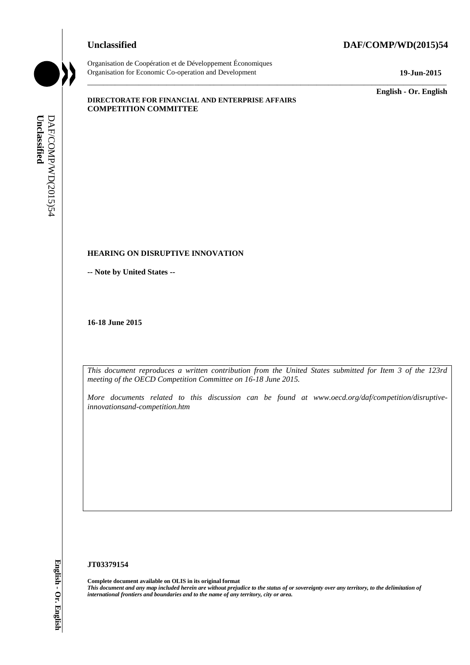# **Unclassified DAF/COMP/WD(2015)54**



Organisation de Coopération et de Développement Économiques Organisation for Economic Co-operation and Development **19-Jun-2015**

\_\_\_\_\_\_\_\_\_\_\_\_\_ **English - Or. English**

#### **DIRECTORATE FOR FINANCIAL AND ENTERPRISE AFFAIRS COMPETITION COMMITTEE**

#### **HEARING ON DISRUPTIVE INNOVATION**

**-- Note by United States --**

**16-18 June 2015**

*This document reproduces a written contribution from the United States submitted for Item 3 of the 123rd meeting of the OECD Competition Committee on 16-18 June 2015.*

\_\_\_\_\_\_\_\_\_\_\_\_\_\_\_\_\_\_\_\_\_\_\_\_\_\_\_\_\_\_\_\_\_\_\_\_\_\_\_\_\_\_\_\_\_\_\_\_\_\_\_\_\_\_\_\_\_\_\_\_\_\_\_\_\_\_\_\_\_\_\_\_\_\_\_\_\_\_\_\_\_\_\_\_\_\_\_\_\_\_\_

*More documents related to this discussion can be found at www.oecd.org/daf/competition/disruptiveinnovationsand-competition.htm*

#### **JT03379154**

**Complete document available on OLIS in its original format** *This document and any map included herein are without prejudice to the status of or sovereignty over any territory, to the delimitation of*  **iii. iii** *iii* **i iii iii iii iii iii iii iii iii iii iii iii iii iii iii iii iii iii iii iii iii iii iii iii iii iii iii iii iii iii iii iii iii iii**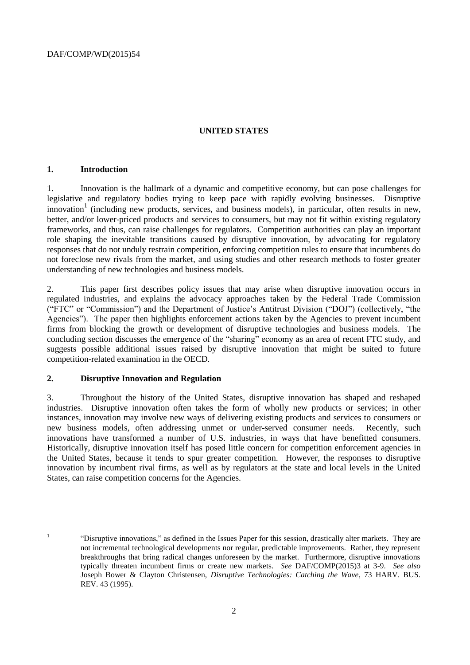### **UNITED STATES**

#### **1. Introduction**

1. Innovation is the hallmark of a dynamic and competitive economy, but can pose challenges for legislative and regulatory bodies trying to keep pace with rapidly evolving businesses. Disruptive innovation<sup>1</sup> (including new products, services, and business models), in particular, often results in new, better, and/or lower-priced products and services to consumers, but may not fit within existing regulatory frameworks, and thus, can raise challenges for regulators. Competition authorities can play an important role shaping the inevitable transitions caused by disruptive innovation, by advocating for regulatory responses that do not unduly restrain competition, enforcing competition rules to ensure that incumbents do not foreclose new rivals from the market, and using studies and other research methods to foster greater understanding of new technologies and business models.

2. This paper first describes policy issues that may arise when disruptive innovation occurs in regulated industries, and explains the advocacy approaches taken by the Federal Trade Commission ("FTC" or "Commission") and the Department of Justice's Antitrust Division ("DOJ") (collectively, "the Agencies"). The paper then highlights enforcement actions taken by the Agencies to prevent incumbent firms from blocking the growth or development of disruptive technologies and business models. The concluding section discusses the emergence of the "sharing" economy as an area of recent FTC study, and suggests possible additional issues raised by disruptive innovation that might be suited to future competition-related examination in the OECD.

#### **2. Disruptive Innovation and Regulation**

3. Throughout the history of the United States, disruptive innovation has shaped and reshaped industries. Disruptive innovation often takes the form of wholly new products or services; in other instances, innovation may involve new ways of delivering existing products and services to consumers or new business models, often addressing unmet or under-served consumer needs. Recently, such innovations have transformed a number of U.S. industries, in ways that have benefitted consumers. Historically, disruptive innovation itself has posed little concern for competition enforcement agencies in the United States, because it tends to spur greater competition. However, the responses to disruptive innovation by incumbent rival firms, as well as by regulators at the state and local levels in the United States, can raise competition concerns for the Agencies.

|<br>|<br>|

<sup>&</sup>quot;Disruptive innovations," as defined in the Issues Paper for this session, drastically alter markets. They are not incremental technological developments nor regular, predictable improvements. Rather, they represent breakthroughs that bring radical changes unforeseen by the market. Furthermore, disruptive innovations typically threaten incumbent firms or create new markets. *See* DAF/COMP(2015)3 at 3-9. *See also*  Joseph Bower & Clayton Christensen, *Disruptive Technologies: Catching the Wave*, 73 HARV. BUS. REV. 43 (1995).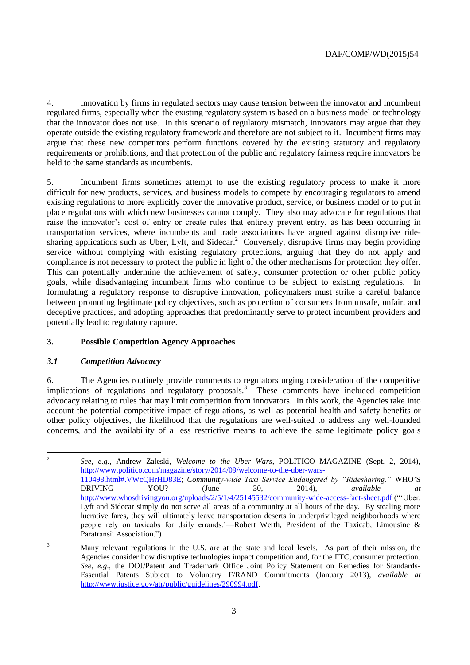4. Innovation by firms in regulated sectors may cause tension between the innovator and incumbent regulated firms, especially when the existing regulatory system is based on a business model or technology that the innovator does not use. In this scenario of regulatory mismatch, innovators may argue that they operate outside the existing regulatory framework and therefore are not subject to it. Incumbent firms may argue that these new competitors perform functions covered by the existing statutory and regulatory requirements or prohibitions, and that protection of the public and regulatory fairness require innovators be held to the same standards as incumbents.

5. Incumbent firms sometimes attempt to use the existing regulatory process to make it more difficult for new products, services, and business models to compete by encouraging regulators to amend existing regulations to more explicitly cover the innovative product, service, or business model or to put in place regulations with which new businesses cannot comply. They also may advocate for regulations that raise the innovator's cost of entry or create rules that entirely prevent entry, as has been occurring in transportation services, where incumbents and trade associations have argued against disruptive ridesharing applications such as Uber, Lyft, and Sidecar.<sup>2</sup> Conversely, disruptive firms may begin providing service without complying with existing regulatory protections, arguing that they do not apply and compliance is not necessary to protect the public in light of the other mechanisms for protection they offer. This can potentially undermine the achievement of safety, consumer protection or other public policy goals, while disadvantaging incumbent firms who continue to be subject to existing regulations. In formulating a regulatory response to disruptive innovation, policymakers must strike a careful balance between promoting legitimate policy objectives, such as protection of consumers from unsafe, unfair, and deceptive practices, and adopting approaches that predominantly serve to protect incumbent providers and potentially lead to regulatory capture.

# **3. Possible Competition Agency Approaches**

#### *3.1 Competition Advocacy*

6. The Agencies routinely provide comments to regulators urging consideration of the competitive implications of regulations and regulatory proposals.<sup>3</sup> These comments have included competition advocacy relating to rules that may limit competition from innovators. In this work, the Agencies take into account the potential competitive impact of regulations, as well as potential health and safety benefits or other policy objectives, the likelihood that the regulations are well-suited to address any well-founded concerns, and the availability of a less restrictive means to achieve the same legitimate policy goals

 $\frac{1}{2}$ *See, e.g.*, Andrew Zaleski, *Welcome to the Uber Wars*, POLITICO MAGAZINE (Sept. 2, 2014), [http://www.politico.com/magazine/story/2014/09/welcome-to-the-uber-wars-](http://www.politico.com/magazine/story/2014/09/welcome-to-the-uber-wars-110498.html#.VWcQHrHD83E)[110498.html#.VWcQHrHD83E;](http://www.politico.com/magazine/story/2014/09/welcome-to-the-uber-wars-110498.html#.VWcQHrHD83E) *Community-wide Taxi Service Endangered by "Ridesharing,"* WHO'S DRIVING YOU? (June 30, 2014), *available at*  <http://www.whosdrivingyou.org/uploads/2/5/1/4/25145532/community-wide-access-fact-sheet.pdf> ("Uber, Lyft and Sidecar simply do not serve all areas of a community at all hours of the day. By stealing more lucrative fares, they will ultimately leave transportation deserts in underprivileged neighborhoods where people rely on taxicabs for daily errands.'—Robert Werth, President of the Taxicab, Limousine & Paratransit Association.")

<sup>&</sup>lt;sup>3</sup> Many relevant regulations in the U.S. are at the state and local levels. As part of their mission, the Agencies consider how disruptive technologies impact competition and, for the FTC, consumer protection. *See*, *e.g*., the DOJ/Patent and Trademark Office Joint Policy Statement on Remedies for Standards-Essential Patents Subject to Voluntary F/RAND Commitments (January 2013), *available at* [http://www.justice.gov/atr/public/guidelines/290994.pdf.](http://www.justice.gov/atr/public/guidelines/290994.pdf)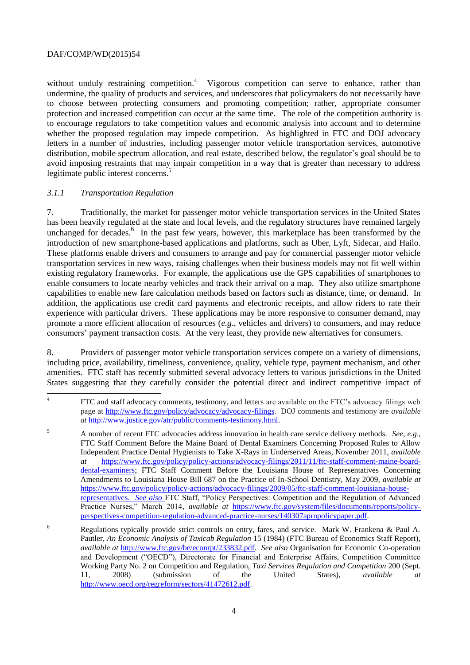without unduly restraining competition.<sup>4</sup> Vigorous competition can serve to enhance, rather than undermine, the quality of products and services, and underscores that policymakers do not necessarily have to choose between protecting consumers and promoting competition; rather, appropriate consumer protection and increased competition can occur at the same time. The role of the competition authority is to encourage regulators to take competition values and economic analysis into account and to determine whether the proposed regulation may impede competition. As highlighted in FTC and DOJ advocacy letters in a number of industries, including passenger motor vehicle transportation services, automotive distribution, mobile spectrum allocation, and real estate, described below, the regulator's goal should be to avoid imposing restraints that may impair competition in a way that is greater than necessary to address legitimate public interest concerns.<sup>5</sup>

# *3.1.1 Transportation Regulation*

7. Traditionally, the market for passenger motor vehicle transportation services in the United States has been heavily regulated at the state and local levels, and the regulatory structures have remained largely unchanged for decades.<sup>6</sup> In the past few years, however, this marketplace has been transformed by the introduction of new smartphone-based applications and platforms, such as Uber, Lyft, Sidecar, and Hailo. These platforms enable drivers and consumers to arrange and pay for commercial passenger motor vehicle transportation services in new ways, raising challenges when their business models may not fit well within existing regulatory frameworks. For example, the applications use the GPS capabilities of smartphones to enable consumers to locate nearby vehicles and track their arrival on a map. They also utilize smartphone capabilities to enable new fare calculation methods based on factors such as distance, time, or demand. In addition, the applications use credit card payments and electronic receipts, and allow riders to rate their experience with particular drivers. These applications may be more responsive to consumer demand, may promote a more efficient allocation of resources (*e.g*., vehicles and drivers) to consumers, and may reduce consumers' payment transaction costs. At the very least, they provide new alternatives for consumers.

8. Providers of passenger motor vehicle transportation services compete on a variety of dimensions, including price, availability, timeliness, convenience, quality, vehicle type, payment mechanism, and other amenities. FTC staff has recently submitted several advocacy letters to various jurisdictions in the United States suggesting that they carefully consider the potential direct and indirect competitive impact of

 $\frac{1}{4}$ FTC and staff advocacy comments, testimony, and letters are available on the FTC's advocacy filings web page at [http://www.ftc.gov/policy/advocacy/advocacy-filings.](http://www.ftc.gov/policy/advocacy/advocacy-filings) DOJ comments and testimony are *available at* [http://www.justice.gov/atr/public/comments-testimony.html.](http://www.justice.gov/atr/public/comments-testimony.html)

<sup>5</sup> A number of recent FTC advocacies address innovation in health care service delivery methods. *See*, *e.g*., FTC Staff Comment Before the Maine Board of Dental Examiners Concerning Proposed Rules to Allow Independent Practice Dental Hygienists to Take X-Rays in Underserved Areas, November 2011, *available at* [https://www.ftc.gov/policy/policy-actions/advocacy-filings/2011/11/ftc-staff-comment-maine-board](https://www.ftc.gov/policy/policy-actions/advocacy-filings/2011/11/ftc-staff-comment-maine-board-dental-examiners)[dental-examiners;](https://www.ftc.gov/policy/policy-actions/advocacy-filings/2011/11/ftc-staff-comment-maine-board-dental-examiners) FTC Staff Comment Before the Louisiana House of Representatives Concerning Amendments to Louisiana House Bill 687 on the Practice of In-School Dentistry, May 2009, *available at* [https://www.ftc.gov/policy/policy-actions/advocacy-filings/2009/05/ftc-staff-comment-louisiana-house](https://www.ftc.gov/policy/policy-actions/advocacy-filings/2009/05/ftc-staff-comment-louisiana-house-representatives)[representatives.](https://www.ftc.gov/policy/policy-actions/advocacy-filings/2009/05/ftc-staff-comment-louisiana-house-representatives) *See also* FTC Staff, "Policy Perspectives: Competition and the Regulation of Advanced Practice Nurses," March 2014, *available at* [https://www.ftc.gov/system/files/documents/reports/policy](https://www.ftc.gov/system/files/documents/reports/policy-perspectives-competition-regulation-advanced-practice-nurses/140307aprnpolicypaper.pdf)[perspectives-competition-regulation-advanced-practice-nurses/140307aprnpolicypaper.pdf.](https://www.ftc.gov/system/files/documents/reports/policy-perspectives-competition-regulation-advanced-practice-nurses/140307aprnpolicypaper.pdf)

<sup>6</sup> Regulations typically provide strict controls on entry, fares, and service. Mark W. Frankena & Paul A. Pautler, *An Economic Analysis of Taxicab Regulation* 15 (1984) (FTC Bureau of Economics Staff Report), *available at* [http://www.ftc.gov/be/econrpt/233832.pdf.](http://www.ftc.gov/be/econrpt/233832.pdf) *See also* Organisation for Economic Co-operation and Development ("OECD"), Directorate for Financial and Enterprise Affairs, Competition Committee Working Party No. 2 on Competition and Regulation, *Taxi Services Regulation and Competition* 200 (Sept. 11, 2008) (submission of the United States), *available at*  [http://www.oecd.org/regreform/sectors/41472612.pdf.](http://www.oecd.org/regreform/sectors/41472612.pdf)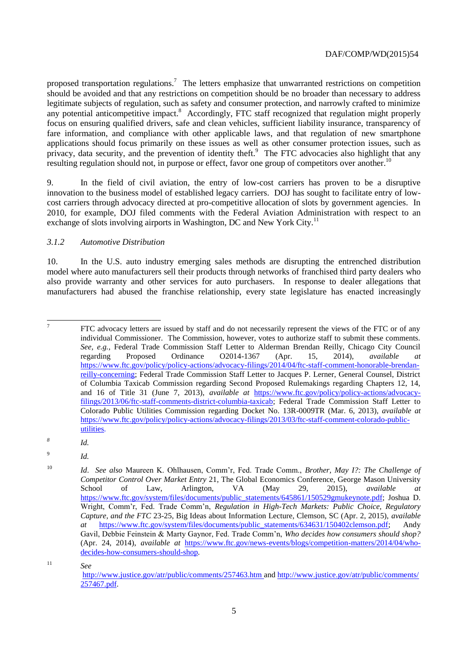proposed transportation regulations.<sup>7</sup> The letters emphasize that unwarranted restrictions on competition should be avoided and that any restrictions on competition should be no broader than necessary to address legitimate subjects of regulation, such as safety and consumer protection, and narrowly crafted to minimize any potential anticompetitive impact.<sup>8</sup> Accordingly, FTC staff recognized that regulation might properly focus on ensuring qualified drivers, safe and clean vehicles, sufficient liability insurance, transparency of fare information, and compliance with other applicable laws, and that regulation of new smartphone applications should focus primarily on these issues as well as other consumer protection issues, such as privacy, data security, and the prevention of identity theft.<sup>9</sup> The FTC advocacies also highlight that any resulting regulation should not, in purpose or effect, favor one group of competitors over another.<sup>10</sup>

9. In the field of civil aviation, the entry of low-cost carriers has proven to be a disruptive innovation to the business model of established legacy carriers. DOJ has sought to facilitate entry of lowcost carriers through advocacy directed at pro-competitive allocation of slots by government agencies. In 2010, for example, DOJ filed comments with the Federal Aviation Administration with respect to an exchange of slots involving airports in Washington, DC and New York City.<sup>11</sup>

#### *3.1.2 Automotive Distribution*

10. In the U.S. auto industry emerging sales methods are disrupting the entrenched distribution model where auto manufacturers sell their products through networks of franchised third party dealers who also provide warranty and other services for auto purchasers. In response to dealer allegations that manufacturers had abused the franchise relationship, every state legislature has enacted increasingly

-<br>7

9 *Id.*

*Id.*

<sup>11</sup> *See*

FTC advocacy letters are issued by staff and do not necessarily represent the views of the FTC or of any individual Commissioner. The Commission, however, votes to authorize staff to submit these comments. *See, e.g.*, Federal Trade Commission Staff Letter to Alderman Brendan Reilly, Chicago City Council regarding Proposed Ordinance O2014-1367 (Apr. 15, 2014), *available at*  [https://www.ftc.gov/policy/policy-actions/advocacy-filings/2014/04/ftc-staff-comment-honorable-brendan](https://www.ftc.gov/policy/policy-actions/advocacy-filings/2014/04/ftc-staff-comment-honorable-brendan-reilly-concerning)[reilly-concerning;](https://www.ftc.gov/policy/policy-actions/advocacy-filings/2014/04/ftc-staff-comment-honorable-brendan-reilly-concerning) Federal Trade Commission Staff Letter to Jacques P. Lerner, General Counsel, District of Columbia Taxicab Commission regarding Second Proposed Rulemakings regarding Chapters 12, 14, and 16 of Title 31 (June 7, 2013), *available at* [https://www.ftc.gov/policy/policy-actions/advocacy](https://www.ftc.gov/policy/policy-actions/advocacy-filings/2013/06/ftc-staff-comments-district-columbia-taxicab)[filings/2013/06/ftc-staff-comments-district-columbia-taxicab;](https://www.ftc.gov/policy/policy-actions/advocacy-filings/2013/06/ftc-staff-comments-district-columbia-taxicab) Federal Trade Commission Staff Letter to Colorado Public Utilities Commission regarding Docket No. 13R-0009TR (Mar. 6, 2013), *available at*  [https://www.ftc.gov/policy/policy-actions/advocacy-filings/2013/03/ftc-staff-comment-colorado-public](https://www.ftc.gov/policy/policy-actions/advocacy-filings/2013/03/ftc-staff-comment-colorado-public-utilities)[utilities.](https://www.ftc.gov/policy/policy-actions/advocacy-filings/2013/03/ftc-staff-comment-colorado-public-utilities)

*<sup>8</sup>*

<sup>10</sup> *Id*. *See also* Maureen K. Ohlhausen, Comm'r, Fed. Trade Comm., *Brother, May I?: The Challenge of Competitor Control Over Market Entry* 21, The Global Economics Conference, George Mason University School of Law, Arlington, VA (May 29, 2015), *available at* [https://www.ftc.gov/system/files/documents/public\\_statements/645861/150529gmukeynote.pdf;](https://www.ftc.gov/system/files/documents/public_statements/645861/150529gmukeynote.pdf) Joshua D. Wright, Comm'r, Fed. Trade Comm'n, *Regulation in High-Tech Markets: Public Choice, Regulatory Capture, and the FTC* 23-25, Big Ideas about Information Lecture, Clemson, SC (Apr. 2, 2015), *available at* [https://www.ftc.gov/system/files/documents/public\\_statements/634631/150402clemson.pdf;](https://www.ftc.gov/system/files/documents/public_statements/634631/150402clemson.pdf) Andy Gavil, Debbie Feinstein & Marty Gaynor, Fed. Trade Comm'n, *Who decides how consumers should shop?*  (Apr. 24, 2014), *available at* [https://www.ftc.gov/news-events/blogs/competition-matters/2014/04/who](https://www.ftc.gov/news-events/blogs/competition-matters/2014/04/who-decides-how-consumers-should-shop)[decides-how-consumers-should-shop](https://www.ftc.gov/news-events/blogs/competition-matters/2014/04/who-decides-how-consumers-should-shop)*.*

<http://www.justice.gov/atr/public/comments/257463.htm> and [http://www.justice.gov/atr/public/comments/](http://www.justice.gov/atr/public/comments/257467.pdf) [257467.pdf.](http://www.justice.gov/atr/public/comments/257467.pdf)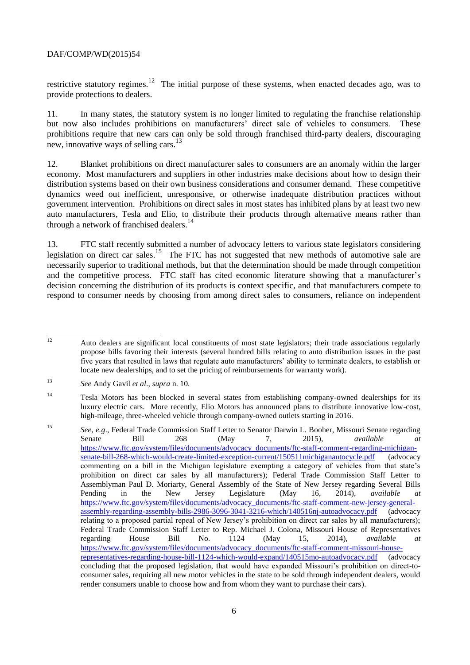restrictive statutory regimes.<sup>12</sup> The initial purpose of these systems, when enacted decades ago, was to provide protections to dealers.

11. In many states, the statutory system is no longer limited to regulating the franchise relationship but now also includes prohibitions on manufacturers' direct sale of vehicles to consumers. These prohibitions require that new cars can only be sold through franchised third-party dealers, discouraging new, innovative ways of selling cars.<sup>13</sup>

12. Blanket prohibitions on direct manufacturer sales to consumers are an anomaly within the larger economy. Most manufacturers and suppliers in other industries make decisions about how to design their distribution systems based on their own business considerations and consumer demand. These competitive dynamics weed out inefficient, unresponsive, or otherwise inadequate distribution practices without government intervention. Prohibitions on direct sales in most states has inhibited plans by at least two new auto manufacturers, Tesla and Elio, to distribute their products through alternative means rather than through a network of franchised dealers.<sup>14</sup>

13. FTC staff recently submitted a number of advocacy letters to various state legislators considering legislation on direct car sales.<sup>15</sup> The FTC has not suggested that new methods of automotive sale are necessarily superior to traditional methods, but that the determination should be made through competition and the competitive process. FTC staff has cited economic literature showing that a manufacturer's decision concerning the distribution of its products is context specific, and that manufacturers compete to respond to consumer needs by choosing from among direct sales to consumers, reliance on independent

 $12$ <sup>12</sup> Auto dealers are significant local constituents of most state legislators; their trade associations regularly propose bills favoring their interests (several hundred bills relating to auto distribution issues in the past five years that resulted in laws that regulate auto manufacturers' ability to terminate dealers, to establish or locate new dealerships, and to set the pricing of reimbursements for warranty work).

<sup>13</sup> *See* Andy Gavil *et al*., *supra* n. 10*.*

<sup>14</sup> Tesla Motors has been blocked in several states from establishing company-owned dealerships for its luxury electric cars. More recently, Elio Motors has announced plans to distribute innovative low-cost, high-mileage, three-wheeled vehicle through company-owned outlets starting in 2016.

<sup>15</sup> *See, e.g*., Federal Trade Commission Staff Letter to Senator Darwin L. Booher, Missouri Senate regarding Senate Bill 268 (May 7, 2015), *available at* [https://www.ftc.gov/system/files/documents/advocacy\\_documents/ftc-staff-comment-regarding-michigan](https://www.ftc.gov/system/files/documents/advocacy_documents/ftc-staff-comment-regarding-michigan-senate-bill-268-which-would-create-limited-exception-current/150511michiganautocycle.pdf)[senate-bill-268-which-would-create-limited-exception-current/150511michiganautocycle.pdf](https://www.ftc.gov/system/files/documents/advocacy_documents/ftc-staff-comment-regarding-michigan-senate-bill-268-which-would-create-limited-exception-current/150511michiganautocycle.pdf) (advocacy commenting on a bill in the Michigan legislature exempting a category of vehicles from that state's prohibition on direct car sales by all manufacturers); Federal Trade Commission Staff Letter to Assemblyman Paul D. Moriarty, General Assembly of the State of New Jersey regarding Several Bills Pending in the New Jersey Legislature (May 16, 2014), *available at* [https://www.ftc.gov/system/files/documents/advocacy\\_documents/ftc-staff-comment-new-jersey-general](https://www.ftc.gov/system/files/documents/advocacy_documents/ftc-staff-comment-new-jersey-general-assembly-regarding-assembly-bills-2986-3096-3041-3216-which/140516nj-autoadvocacy.pdf)[assembly-regarding-assembly-bills-2986-3096-3041-3216-which/140516nj-autoadvocacy.pdf](https://www.ftc.gov/system/files/documents/advocacy_documents/ftc-staff-comment-new-jersey-general-assembly-regarding-assembly-bills-2986-3096-3041-3216-which/140516nj-autoadvocacy.pdf) (advocacy relating to a proposed partial repeal of New Jersey's prohibition on direct car sales by all manufacturers); Federal Trade Commission Staff Letter to Rep. Michael J. Colona, Missouri House of Representatives regarding House Bill No. 1124 (May 15, 2014), *available at* [https://www.ftc.gov/system/files/documents/advocacy\\_documents/ftc-staff-comment-missouri-house](https://www.ftc.gov/system/files/documents/advocacy_documents/ftc-staff-comment-missouri-house-representatives-regarding-house-bill-1124-which-would-expand/140515mo-autoadvocacy.pdf)[representatives-regarding-house-bill-1124-which-would-expand/140515mo-autoadvocacy.pdf](https://www.ftc.gov/system/files/documents/advocacy_documents/ftc-staff-comment-missouri-house-representatives-regarding-house-bill-1124-which-would-expand/140515mo-autoadvocacy.pdf) (advocacy concluding that the proposed legislation, that would have expanded Missouri's prohibition on direct-toconsumer sales, requiring all new motor vehicles in the state to be sold through independent dealers, would render consumers unable to choose how and from whom they want to purchase their cars).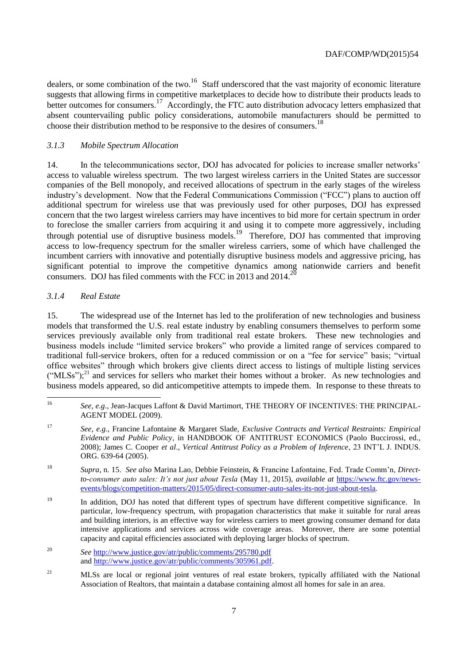dealers, or some combination of the two.<sup>16</sup> Staff underscored that the vast majority of economic literature suggests that allowing firms in competitive marketplaces to decide how to distribute their products leads to better outcomes for consumers.<sup>17</sup> Accordingly, the FTC auto distribution advocacy letters emphasized that absent countervailing public policy considerations, automobile manufacturers should be permitted to choose their distribution method to be responsive to the desires of consumers. 18

#### *3.1.3 Mobile Spectrum Allocation*

14. In the telecommunications sector, DOJ has advocated for policies to increase smaller networks' access to valuable wireless spectrum. The two largest wireless carriers in the United States are successor companies of the Bell monopoly, and received allocations of spectrum in the early stages of the wireless industry's development. Now that the Federal Communications Commission ("FCC") plans to auction off additional spectrum for wireless use that was previously used for other purposes, DOJ has expressed concern that the two largest wireless carriers may have incentives to bid more for certain spectrum in order to foreclose the smaller carriers from acquiring it and using it to compete more aggressively, including through potential use of disruptive business models. <sup>19</sup> Therefore, DOJ has commented that improving access to low-frequency spectrum for the smaller wireless carriers, some of which have challenged the incumbent carriers with innovative and potentially disruptive business models and aggressive pricing, has significant potential to improve the competitive dynamics among nationwide carriers and benefit consumers. DOJ has filed comments with the FCC in 2013 and 2014. 20

#### *3.1.4 Real Estate*

15. The widespread use of the Internet has led to the proliferation of new technologies and business models that transformed the U.S. real estate industry by enabling consumers themselves to perform some services previously available only from traditional real estate brokers. These new technologies and business models include "limited service brokers" who provide a limited range of services compared to traditional full-service brokers, often for a reduced commission or on a "fee for service" basis; "virtual office websites" through which brokers give clients direct access to listings of multiple listing services  $("MLSS")$ ;<sup>21</sup> and services for sellers who market their homes without a broker. As new technologies and business models appeared, so did anticompetitive attempts to impede them. In response to these threats to

 $16$ <sup>16</sup> *See*, *e.g*., Jean-Jacques Laffont & David Martimort, THE THEORY OF INCENTIVES: THE PRINCIPAL-AGENT MODEL (2009).

<sup>17</sup> *See*, *e.g*., Francine Lafontaine & Margaret Slade, *Exclusive Contracts and Vertical Restraints: Empirical Evidence and Public Policy*, in HANDBOOK OF ANTITRUST ECONOMICS (Paolo Buccirossi, ed., 2008); James C. Cooper *et al*., *Vertical Antitrust Policy as a Problem of Inference*, 23 INT'L J. INDUS. ORG. 639-64 (2005).

<sup>18</sup> *Supra*, n. 15. *See also* Marina Lao, Debbie Feinstein, & Francine Lafontaine, Fed. Trade Comm'n, *Directto-consumer auto sales: It's not just about Tesla* (May 11, 2015), *available at* [https://www.ftc.gov/news](https://www.ftc.gov/news-events/blogs/competition-matters/2015/05/direct-consumer-auto-sales-its-not-just-about-tesla)[events/blogs/competition-matters/2015/05/direct-consumer-auto-sales-its-not-just-about-tesla](https://www.ftc.gov/news-events/blogs/competition-matters/2015/05/direct-consumer-auto-sales-its-not-just-about-tesla)*.*

<sup>&</sup>lt;sup>19</sup> In addition, DOJ has noted that different types of spectrum have different competitive significance. In particular, low-frequency spectrum, with propagation characteristics that make it suitable for rural areas and building interiors, is an effective way for wireless carriers to meet growing consumer demand for data intensive applications and services across wide coverage areas. Moreover, there are some potential capacity and capital efficiencies associated with deploying larger blocks of spectrum.

<sup>20</sup> *See* <http://www.justice.gov/atr/public/comments/295780.pdf> and [http://www.justice.gov/atr/public/comments/305961.pdf.](http://www.justice.gov/atr/public/comments/305961.pdf)

<sup>&</sup>lt;sup>21</sup> MLSs are local or regional joint ventures of real estate brokers, typically affiliated with the National Association of Realtors, that maintain a database containing almost all homes for sale in an area.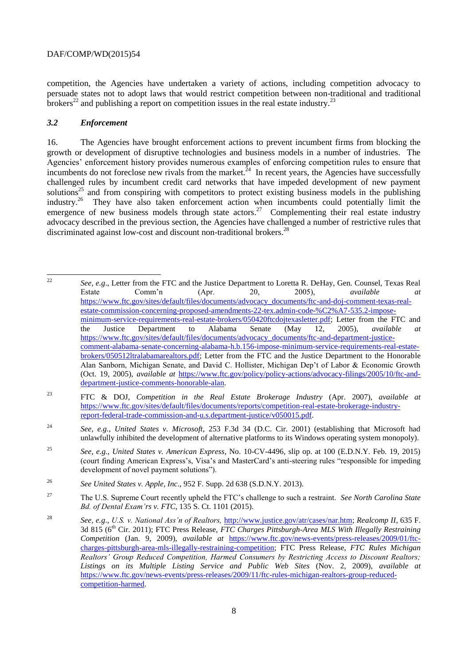competition, the Agencies have undertaken a variety of actions, including competition advocacy to persuade states not to adopt laws that would restrict competition between non-traditional and traditional brokers<sup>22</sup> and publishing a report on competition issues in the real estate industry.<sup>23</sup>

### *3.2 Enforcement*

16. The Agencies have brought enforcement actions to prevent incumbent firms from blocking the growth or development of disruptive technologies and business models in a number of industries. The Agencies' enforcement history provides numerous examples of enforcing competition rules to ensure that incumbents do not foreclose new rivals from the market.<sup>24</sup> In recent years, the Agencies have successfully challenged rules by incumbent credit card networks that have impeded development of new payment solutions<sup>25</sup> and from conspiring with competitors to protect existing business models in the publishing industry.<sup>26</sup> They have also taken enforcement action when incumbents could potentially limit the emergence of new business models through state actors.<sup>27</sup> Complementing their real estate industry advocacy described in the previous section, the Agencies have challenged a number of restrictive rules that discriminated against low-cost and discount non-traditional brokers.<sup>28</sup>

 $22$ <sup>22</sup> *See*, *e.g*., Letter from the FTC and the Justice Department to Loretta R. DeHay, Gen. Counsel, Texas Real Estate Comm'n (Apr. 20, 2005), *available at*  [https://www.ftc.gov/sites/default/files/documents/advocacy\\_documents/ftc-and-doj-comment-texas-real](https://www.ftc.gov/sites/default/files/documents/advocacy_documents/ftc-and-doj-comment-texas-real-estate-commission-concerning-proposed-amendments-22-tex.admin-code-%C2%A7-535.2-impose-minimum-service-requirements-real-estate-brokers/050420ftcdojtexasletter.pdf)[estate-commission-concerning-proposed-amendments-22-tex.admin-code-%C2%A7-535.2-impose](https://www.ftc.gov/sites/default/files/documents/advocacy_documents/ftc-and-doj-comment-texas-real-estate-commission-concerning-proposed-amendments-22-tex.admin-code-%C2%A7-535.2-impose-minimum-service-requirements-real-estate-brokers/050420ftcdojtexasletter.pdf)[minimum-service-requirements-real-estate-brokers/050420ftcdojtexasletter.pdf;](https://www.ftc.gov/sites/default/files/documents/advocacy_documents/ftc-and-doj-comment-texas-real-estate-commission-concerning-proposed-amendments-22-tex.admin-code-%C2%A7-535.2-impose-minimum-service-requirements-real-estate-brokers/050420ftcdojtexasletter.pdf) Letter from the FTC and the Justice Department to Alabama Senate (May 12, 2005), *available* [https://www.ftc.gov/sites/default/files/documents/advocacy\\_documents/ftc-and-department-justice](https://www.ftc.gov/sites/default/files/documents/advocacy_documents/ftc-and-department-justice-comment-alabama-senate-concerning-alabama-h.b.156-impose-minimum-service-requirements-real-estate-brokers/050512ltralabamarealtors.pdf)[comment-alabama-senate-concerning-alabama-h.b.156-impose-minimum-service-requirements-real-estate](https://www.ftc.gov/sites/default/files/documents/advocacy_documents/ftc-and-department-justice-comment-alabama-senate-concerning-alabama-h.b.156-impose-minimum-service-requirements-real-estate-brokers/050512ltralabamarealtors.pdf)[brokers/050512ltralabamarealtors.pdf;](https://www.ftc.gov/sites/default/files/documents/advocacy_documents/ftc-and-department-justice-comment-alabama-senate-concerning-alabama-h.b.156-impose-minimum-service-requirements-real-estate-brokers/050512ltralabamarealtors.pdf) Letter from the FTC and the Justice Department to the Honorable Alan Sanborn, Michigan Senate, and David C. Hollister, Michigan Dep't of Labor & Economic Growth (Oct. 19, 2005), *available at* [https://www.ftc.gov/policy/policy-actions/advocacy-filings/2005/10/ftc-and](https://www.ftc.gov/policy/policy-actions/advocacy-filings/2005/10/ftc-and-department-justice-comments-honorable-alan)[department-justice-comments-honorable-alan.](https://www.ftc.gov/policy/policy-actions/advocacy-filings/2005/10/ftc-and-department-justice-comments-honorable-alan)

- <sup>23</sup> FTC & DOJ, *Competition in the Real Estate Brokerage Industry* (Apr. 2007), *available at*  [https://www.ftc.gov/sites/default/files/documents/reports/competition-real-estate-brokerage-industry](https://www.ftc.gov/sites/default/files/documents/reports/competition-real-estate-brokerage-industry-report-federal-trade-commission-and-u.s.department-justice/v050015.pdf)[report-federal-trade-commission-and-u.s.department-justice/v050015.pdf.](https://www.ftc.gov/sites/default/files/documents/reports/competition-real-estate-brokerage-industry-report-federal-trade-commission-and-u.s.department-justice/v050015.pdf)
- <sup>24</sup> *See, e.g.*, *United States v. Microsoft*, 253 F.3d 34 (D.C. Cir. 2001) (establishing that Microsoft had unlawfully inhibited the development of alternative platforms to its Windows operating system monopoly).
- <sup>25</sup> *See, e.g.*, *United States v. American Express*, No. 10-CV-4496, slip op. at 100 (E.D.N.Y. Feb. 19, 2015) (court finding American Express's, Visa's and MasterCard's anti-steering rules "responsible for impeding development of novel payment solutions").
- <sup>26</sup> *See United States v. Apple, Inc*., 952 F. Supp. 2d 638 (S.D.N.Y. 2013).
- <sup>27</sup> The U.S. Supreme Court recently upheld the FTC's challenge to such a restraint. *See North Carolina State Bd. of Dental Exam'rs v. FTC*, 135 S. Ct. 1101 (2015).
- <sup>28</sup> *See, e.g*., *U.S. v. National Ass'n of Realtors,* [http://www.justice.gov/atr/cases/nar.htm;](http://www.justice.gov/atr/cases/nar.htm) *Realcomp II*, 635 F. 3d 815 (6<sup>th</sup> Cir. 2011); FTC Press Release, *FTC Charges Pittsburgh-Area MLS With Illegally Restraining Competition* (Jan. 9, 2009), *available at* [https://www.ftc.gov/news-events/press-releases/2009/01/ftc](https://www.ftc.gov/news-events/press-releases/2009/01/ftc-charges-pittsburgh-area-mls-illegally-restraining-competition)[charges-pittsburgh-area-mls-illegally-restraining-competition;](https://www.ftc.gov/news-events/press-releases/2009/01/ftc-charges-pittsburgh-area-mls-illegally-restraining-competition) FTC Press Release, *FTC Rules Michigan Realtors' Group Reduced Competition, Harmed Consumers by Restricting Access to Discount Realtors; Listings on its Multiple Listing Service and Public Web Sites* (Nov. 2, 2009), *available at*  [https://www.ftc.gov/news-events/press-releases/2009/11/ftc-rules-michigan-realtors-group-reduced](https://www.ftc.gov/news-events/press-releases/2009/11/ftc-rules-michigan-realtors-group-reduced-competition-harmed)[competition-harmed.](https://www.ftc.gov/news-events/press-releases/2009/11/ftc-rules-michigan-realtors-group-reduced-competition-harmed)